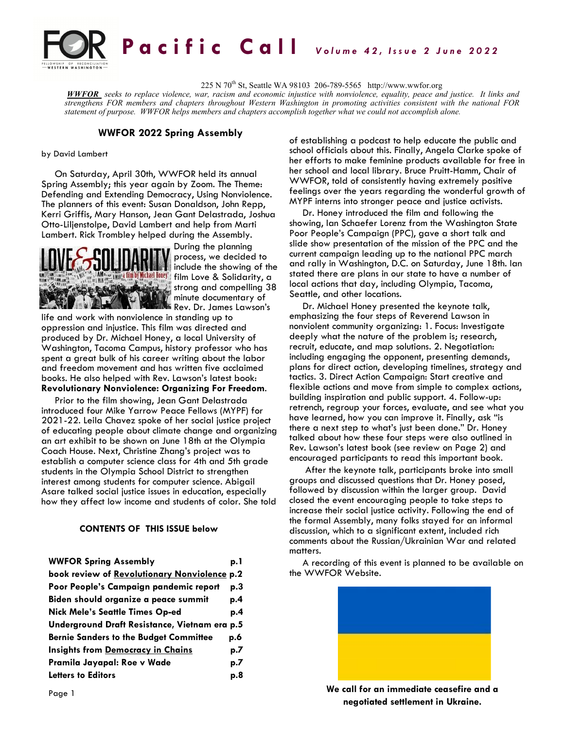

225 N 70th St, Seattle WA 98103 206-789-5565 http://www.wwfor.org

*WWFOR seeks to replace violence, war, racism and economic injustice with nonviolence, equality, peace and justice. It links and strengthens FOR members and chapters throughout Western Washington in promoting activities consistent with the national FOR statement of purpose. WWFOR helps members and chapters accomplish together what we could not accomplish alone.*

### **WWFOR 2022 Spring Assembly**

#### by David Lambert

On Saturday, April 30th, WWFOR held its annual Spring Assembly; this year again by Zoom. The Theme: Defending and Extending Democracy, Using Nonviolence. The planners of this event: Susan Donaldson, John Repp, Kerri Griffis, Mary Hanson, Jean Gant Delastrada, Joshua Otto-Liljenstolpe, David Lambert and help from Marti Lambert. Rick Trombley helped during the Assembly.



During the planning process, we decided to include the showing of the **film by Michael Honey film Love & Solidarity, a** strong and compelling 38 minute documentary of Rev. Dr. James Lawson's

life and work with nonviolence in standing up to oppression and injustice. This film was directed and produced by Dr. Michael Honey, a local University of Washington, Tacoma Campus, history professor who has spent a great bulk of his career writing about the labor and freedom movement and has written five acclaimed books. He also helped with Rev. Lawson's latest book: **Revolutionary Nonviolence: Organizing For Freedom**.

Prior to the film showing, Jean Gant Delastrada introduced four Mike Yarrow Peace Fellows (MYPF) for 2021-22. Leila Chavez spoke of her social justice project of educating people about climate change and organizing an art exhibit to be shown on June 18th at the Olympia Coach House. Next, Christine Zhang's project was to establish a computer science class for 4th and 5th grade students in the Olympia School District to strengthen interest among students for computer science. Abigail Asare talked social justice issues in education, especially how they affect low income and students of color. She told

#### **CONTENTS OF THIS ISSUE below**

| <b>WWFOR Spring Assembly</b>                  | p. 1 |
|-----------------------------------------------|------|
| book review of Revolutionary Nonviolence p.2  |      |
| Poor People's Campaign pandemic report        | p.3  |
| Biden should organize a peace summit          | p.4  |
| <b>Nick Mele's Seattle Times Op-ed</b>        | p.4  |
| Underground Draft Resistance, Vietnam era p.5 |      |
| <b>Bernie Sanders to the Budget Committee</b> | p.6  |
| <b>Insights from Democracy in Chains</b>      | p.7  |
| Pramila Jayapal: Roe v Wade                   | p.7  |
| <b>Letters to Editors</b>                     | p.8  |

of establishing a podcast to help educate the public and school officials about this. Finally, Angela Clarke spoke of her efforts to make feminine products available for free in her school and local library. Bruce Pruitt-Hamm, Chair of WWFOR, told of consistently having extremely positive feelings over the years regarding the wonderful growth of MYPF interns into stronger peace and justice activists.

Dr. Honey introduced the film and following the showing, Ian Schaefer Lorenz from the Washington State Poor People's Campaign (PPC), gave a short talk and slide show presentation of the mission of the PPC and the current campaign leading up to the national PPC march and rally in Washington, D.C. on Saturday, June 18th. Ian stated there are plans in our state to have a number of local actions that day, including Olympia, Tacoma, Seattle, and other locations.

Dr. Michael Honey presented the keynote talk, emphasizing the four steps of Reverend Lawson in nonviolent community organizing: 1. Focus: Investigate deeply what the nature of the problem is; research, recruit, educate, and map solutions. 2. Negotiation: including engaging the opponent, presenting demands, plans for direct action, developing timelines, strategy and tactics. 3. Direct Action Campaign: Start creative and flexible actions and move from simple to complex actions, building inspiration and public support. 4. Follow-up: retrench, regroup your forces, evaluate, and see what you have learned, how you can improve it. Finally, ask "is there a next step to what's just been done." Dr. Honey talked about how these four steps were also outlined in Rev. Lawson's latest book (see review on Page 2) and encouraged participants to read this important book.

After the keynote talk, participants broke into small groups and discussed questions that Dr. Honey posed, followed by discussion within the larger group. David closed the event encouraging people to take steps to increase their social justice activity. Following the end of the formal Assembly, many folks stayed for an informal discussion, which to a significant extent, included rich comments about the Russian/Ukrainian War and related matters.

A recording of this event is planned to be available on the WWFOR Website.



**We call for an immediate ceasefire and a negotiated settlement in Ukraine.**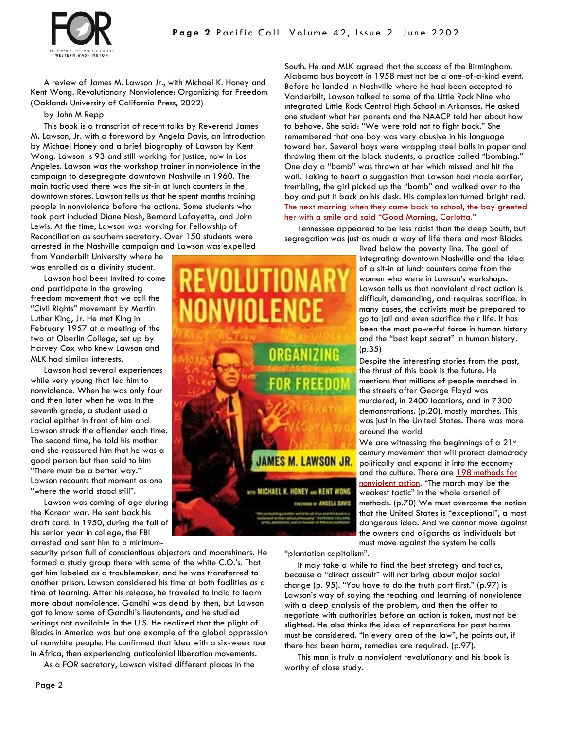



A review of James M. Lawson Jr., with Michael K. Honey and Kent Wong. Revolutionary Nonviolence: Organizing for Freedom (Oakland: University of California Press, 2022)

by John M Repp

This book is a transcript of recent talks by Reverend James M. Lawson, Jr. with a foreword by Angela Davis, an introduction by Michael Honey and a brief biography of Lawson by Kent Wong. Lawson is 93 and still working for justice, now in Los Angeles. Lawson was the workshop trainer in nonviolence in the campaign to desegregate downtown Nashville in 1960. The main tactic used there was the sit-in at lunch counters in the downtown stores. Lawson tells us that he spent months training people in nonviolence before the actions. Some students who took part included Diane Nash, Bernard Lafayette, and John Lewis. At the time, Lawson was working for Fellowship of Reconciliation as southern secretary. Over 150 students were arrested in the Nashville campaign and Lawson was expelled

from Vanderbilt University where he was enrolled as a divinity student.

Lawson had been invited to come and participate in the growing freedom movement that we call the "Civil Rights" movement by Martin Luther King, Jr. He met King in February 1957 at a meeting of the two at Oberlin College, set up by Harvey Cox who knew Lawson and MLK had similar interests.

Lawson had several experiences while very young that led him to nonviolence. When he was only four and then later when he was in the seventh grade, a student used a racial epithet in front of him and Lawson struck the offender each time. The second time, he told his mother and she reassured him that he was a good person but then said to him "There must be a better way." Lawson recounts that moment as one "where the world stood still".

Lawson was coming of age during the Korean war. He sent back his draft card. In 1950, during the fall of his senior year in college, the FBI arrested and sent him to a minimum-

security prison full of conscientious objectors and moonshiners. He formed a study group there with some of the white C.O.'s. That got him labeled as a troublemaker, and he was transferred to another prison. Lawson considered his time at both facilities as a time of learning. After his release, he traveled to India to learn more about nonviolence. Gandhi was dead by then, but Lawson got to know some of Gandhi's lieutenants, and he studied writings not available in the U.S. He realized that the plight of Blacks in America was but one example of the global oppression of nonwhite people. He confirmed that idea with a six-week tour in Africa, then experiencing anticolonial liberation movements.

As a FOR secretary, Lawson visited different places in the

VIIII FNI 'GANIZING AMES M. LAWSON JR. with MICHAEL K. HONEY AND KENT WONG FOREWORD BY ANGELA DAVIS

South. He and MLK agreed that the success of the Birmingham, Alabama bus boycott in 1958 must not be a one-of-a-kind event. Before he landed in Nashville where he had been accepted to Vanderbilt, Lawson talked to some of the Little Rock Nine who integrated Little Rock Central High School in Arkansas. He asked one student what her parents and the NAACP told her about how to behave. She said: "We were told not to fight back." She remembered that one boy was very abusive in his language toward her. Several boys were wrapping steel balls in paper and throwing them at the black students, a practice called "bombing." One day a "bomb" was thrown at her which missed and hit the wall. Taking to heart a suggestion that Lawson had made earlier, trembling, the girl picked up the "bomb" and walked over to the boy and put it back on his desk. His complexion turned bright red. [The next morning when they came back to school, the boy greeted](https://www.csmonitor.com/USA/Society/2022/0329/Preaching-the-quiet-no-of-nonviolence)  her with a smile and said "Good Morning, Carlotta."

Tennessee appeared to be less racist than the deep South, but segregation was just as much a way of life there and most Blacks

> lived below the poverty line. The goal of integrating downtown Nashville and the idea of a sit-in at lunch counters came from the women who were in Lawson's workshops. Lawson tells us that nonviolent direct action is difficult, demanding, and requires sacrifice. In many cases, the activists must be prepared to go to jail and even sacrifice their life. It has been the most powerful force in human history and the "best kept secret" in human history. (p.35)

Despite the interesting stories from the past, the thrust of this book is the future. He mentions that millions of people marched in the streets after George Floyd was murdered, in 2400 locations, and in 7300 demonstrations. (p.20), mostly marches. This was just in the United States. There was more around the world.

We are witnessing the beginnings of a  $21<sup>st</sup>$ century movement that will protect democracy politically and expand it into the economy and the culture. There are [198 methods for](https://christiansforsocialaction.org/resource/198-methods-of-non-violent-action-illustrated/)  [nonviolent action](https://christiansforsocialaction.org/resource/198-methods-of-non-violent-action-illustrated/). "The march may be the weakest tactic" in the whole arsenal of methods. (p.70) We must overcome the notion that the United States is "exceptional", a most dangerous idea. And we cannot move against the owners and oligarchs as individuals but must move against the system he calls

"plantation capitalism".

It may take a while to find the best strategy and tactics, because a "direct assault" will not bring about major social change (p. 95). "You have to do the truth part first." (p.97) is Lawson's way of saying the teaching and learning of nonviolence with a deep analysis of the problem, and then the offer to negotiate with authorities before an action is taken, must not be slighted. He also thinks the idea of reparations for past harms must be considered. "In every area of the law", he points out, if there has been harm, remedies are required. (p.97).

This man is truly a nonviolent revolutionary and his book is worthy of close study.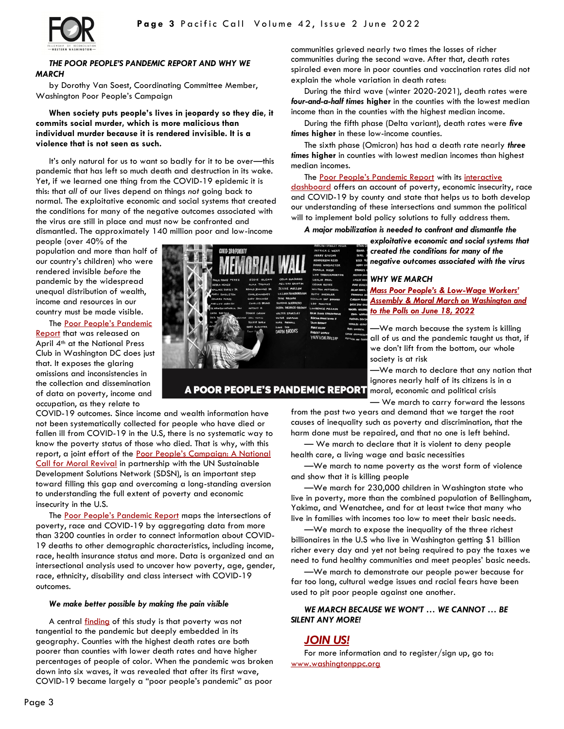

### *THE POOR PEOPLE'S PANDEMIC REPORT AND WHY WE MARCH*

by Dorothy Van Soest, Coordinating Committee Member, Washington Poor People's Campaign

**When society puts people's lives in jeopardy so they die, it commits social murder, which is more malicious than individual murder because it is rendered invisible. It is a violence that is not seen as such.**

It's only natural for us to want so badly for it to be over—this pandemic that has left so much death and destruction in its wake. Yet, if we learned one thing from the COVID-19 epidemic it is this: that *all* of our lives depend on things *not* going back to normal. The exploitative economic and social systems that created the conditions for many of the negative outcomes associated with the virus are still in place and must now be confronted and

dismantled. The approximately 140 million poor and low-income

people (over 40% of the population and more than half of our country's children) who were rendered invisible *before* the pandemic by the widespread unequal distribution of wealth, income and resources in our country must be made visible.

The [Poor People's Pandemic](https://www.poorpeoplescampaign.org/pandemic-report/)  [Report](https://www.poorpeoplescampaign.org/pandemic-report/) that was released on April 4<sup>th</sup> at the National Press Club in Washington DC does just that. It exposes the glaring omissions and inconsistencies in the collection and dissemination of data on poverty, income and occupation, as they relate to

COVID-19 outcomes. Since income and wealth information have not been systematically collected for people who have died or fallen ill from COVID-19 in the U.S, there is no systematic way to know the poverty status of those who died. That is why, with this report, a joint effort of the Poor People's Campaign: A National [Call for Moral Revival](https://www.poorpeoplescampaign.org/about/) in partnership with the UN Sustainable Development Solutions Network (SDSN), is an important step toward filling this gap and overcoming a long-standing aversion to understanding the full extent of poverty and economic insecurity in the U.S.

The [Poor People's Pandemic Report](https://www.poorpeoplescampaign.org/pandemic-report/) maps the intersections of poverty, race and COVID-19 by aggregating data from more than 3200 counties in order to connect information about COVID-19 deaths to other demographic characteristics, including income, race, health insurance status and more. Data is organized and an intersectional analysis used to uncover how poverty, age, gender, race, ethnicity, disability and class intersect with COVID-19 outcomes.

#### *We make better possible by making the pain visible*

A central *[finding](https://www.poorpeoplescampaign.org/wp-content/uploads/2022/04/PoorPeoplesPandemicReport-Executive-Summary-April2022.pdf)* of this study is that poverty was not tangential to the pandemic but deeply embedded in its geography. Counties with the highest death rates are both poorer than counties with lower death rates and have higher percentages of people of color. When the pandemic was broken down into six waves, it was revealed that after its first wave, COVID-19 became largely a "poor people's pandemic" as poor

communities grieved nearly two times the losses of richer communities during the second wave. After that, death rates spiraled even more in poor counties and vaccination rates did not explain the whole variation in death rates:

During the third wave (winter 2020-2021), death rates were *four-and-a-half times* **higher** in the counties with the lowest median income than in the counties with the highest median income.

During the fifth phase (Delta variant), death rates were *five times* **higher** in these low-income counties.

The sixth phase (Omicron) has had a death rate nearly *three times* **higher** in counties with lowest median incomes than highest median incomes.

The [Poor People's Pandemic Report](https://www.poorpeoplescampaign.org/pandemic-report/) with its [interactive](https://sdsn.maps.arcgis.com/apps/dashboards/5f63359b4889476380d12b1cb5299f3d)  [dashboard](https://sdsn.maps.arcgis.com/apps/dashboards/5f63359b4889476380d12b1cb5299f3d) offers an account of poverty, economic insecurity, race

and COVID-19 by county and state that helps us to both develop our understanding of these intersections and summon the political will to implement bold policy solutions to fully address them.

*A major mobilization is needed to confront and dismantle the*

*exploitative economic and social systems that created the conditions for many of the negative outcomes associated with the virus*

### *WHY WE MARCH*

*[Mass Poor People's & Low](https://www.poorpeoplescampaign.org/june18/)-Wage Workers' [Assembly & Moral March on Washington and](https://www.poorpeoplescampaign.org/june18/)  [to the Polls on June 18, 2022](https://www.poorpeoplescampaign.org/june18/)*

—We march because the system is killing all of us and the pandemic taught us that, if we don't lift from the bottom, our whole society is at risk

—We march to declare that any nation that ignores nearly half of its citizens is in a A POOR PEOPLE'S PANDEMIC REPORT moral, economic and political crisis

— We march to carry forward the lessons from the past two years and demand that we target the root causes of inequality such as poverty and discrimination, that the harm done must be repaired, and that no one is left behind.

— We march to declare that it is violent to deny people health care, a living wage and basic necessities

—We march to name poverty as the worst form of violence and show that it is killing people

—We march for 230,000 children in Washington state who live in poverty, more than the combined population of Bellingham, Yakima, and Wenatchee, and for at least twice that many who live in families with incomes too low to meet their basic needs.

—We march to expose the inequality of the three richest billionaires in the U.S who live in Washington getting \$1 billion richer every day and yet not being required to pay the taxes we need to fund healthy communities and meet peoples' basic needs.

—We march to demonstrate our people power because for far too long, cultural wedge issues and racial fears have been used to pit poor people against one another.

*WE MARCH BECAUSE WE WON'T … WE CANNOT … BE SILENT ANY MORE!*

## *[JOIN US!](https://www.poorpeoplescampaign.org/june18/)*

For more information and to register/sign up, go to: [www.washingtonppc.org](http://www.washingtonppc.org)

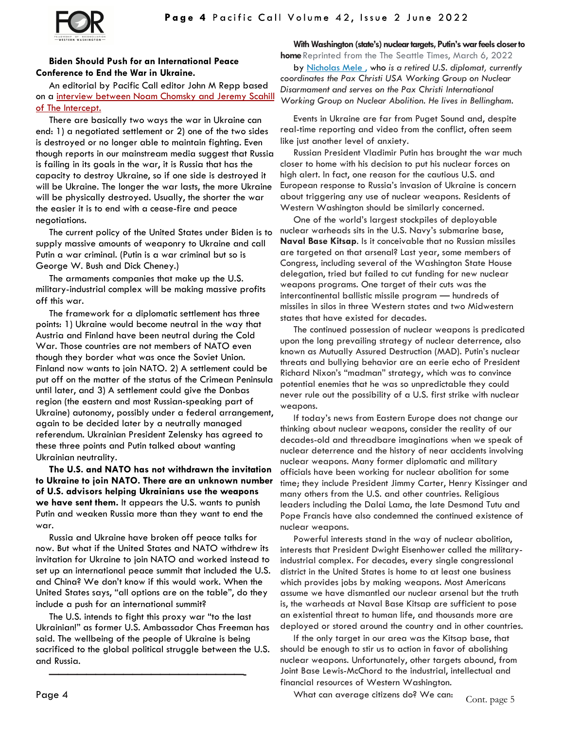

## **Biden Should Push for an International Peace Conference to End the War in Ukraine.**

An editorial by Pacific Call editor John M Repp based on a interview between Noam Chomsky and Jeremy Scahill [of The Intercept.](https://www.youtube.com/watch?v=8Jr0PCU4m7M)

There are basically two ways the war in Ukraine can end: 1) a negotiated settlement or 2) one of the two sides is destroyed or no longer able to maintain fighting. Even though reports in our mainstream media suggest that Russia is failing in its goals in the war, it is Russia that has the capacity to destroy Ukraine, so if one side is destroyed it will be Ukraine. The longer the war lasts, the more Ukraine will be physically destroyed. Usually, the shorter the war the easier it is to end with a cease-fire and peace negotiations.

The current policy of the United States under Biden is to supply massive amounts of weaponry to Ukraine and call Putin a war criminal. (Putin is a war criminal but so is George W. Bush and Dick Cheney.)

The armaments companies that make up the U.S. military-industrial complex will be making massive profits off this war.

The framework for a diplomatic settlement has three points: 1) Ukraine would become neutral in the way that Austria and Finland have been neutral during the Cold War. Those countries are not members of NATO even though they border what was once the Soviet Union. Finland now wants to join NATO. 2) A settlement could be put off on the matter of the status of the Crimean Peninsula until later, and 3) A settlement could give the Donbas region (the eastern and most Russian-speaking part of Ukraine) autonomy, possibly under a federal arrangement, again to be decided later by a neutrally managed referendum. Ukrainian President Zelensky has agreed to these three points and Putin talked about wanting Ukrainian neutrality.

**The U.S. and NATO has not withdrawn the invitation to Ukraine to join NATO. There are an unknown number of U.S. advisors helping Ukrainians use the weapons we have sent them.** It appears the U.S. wants to punish Putin and weaken Russia more than they want to end the war.

Russia and Ukraine have broken off peace talks for now. But what if the United States and NATO withdrew its invitation for Ukraine to join NATO and worked instead to set up an international peace summit that included the U.S. and China? We don't know if this would work. When the United States says, "all options are on the table", do they include a push for an international summit?

The U.S. intends to fight this proxy war "to the last Ukrainian!" as former U.S. Ambassador Chas Freeman has said. The wellbeing of the people of Ukraine is being sacrificed to the global political struggle between the U.S. and Russia.

**—————————————————————-**

### **With Washington (state's) nuclear targets, Putin's war feels closer to**

**home** Reprinted from the The Seattle Times, March 6, 2022 by [Nicholas Mele](https://www.seattletimes.com/author/nicholas-mele/) , who *is a retired U.S. diplomat, currently coordinates the Pax Christi USA Working Group on Nuclear Disarmament and serves on the Pax Christi International Working Group on Nuclear Abolition. He lives in Bellingham.*

Events in Ukraine are far from Puget Sound and, despite real-time reporting and video from the conflict, often seem like just another level of anxiety.

Russian President Vladimir Putin has brought the war much closer to home with his decision to put his nuclear forces on high alert. In fact, one reason for the cautious U.S. and European response to Russia's invasion of Ukraine is concern about triggering any use of nuclear weapons. Residents of Western Washington should be similarly concerned.

One of the world's largest stockpiles of deployable nuclear warheads sits in the U.S. Navy's submarine base, **Naval Base Kitsap**. Is it conceivable that no Russian missiles are targeted on that arsenal? Last year, some members of Congress, including several of the Washington State House delegation, tried but failed to cut funding for new nuclear weapons programs. One target of their cuts was the intercontinental ballistic missile program — hundreds of missiles in silos in three Western states and two Midwestern states that have existed for decades.

The continued possession of nuclear weapons is predicated upon the long prevailing strategy of nuclear deterrence, also known as Mutually Assured Destruction (MAD). Putin's nuclear threats and bullying behavior are an eerie echo of President Richard Nixon's "madman" strategy, which was to convince potential enemies that he was so unpredictable they could never rule out the possibility of a U.S. first strike with nuclear weapons.

If today's news from Eastern Europe does not change our thinking about nuclear weapons, consider the reality of our decades-old and threadbare imaginations when we speak of nuclear deterrence and the history of near accidents involving nuclear weapons. Many former diplomatic and military officials have been working for nuclear abolition for some time; they include President Jimmy Carter, Henry Kissinger and many others from the U.S. and other countries. Religious leaders including the Dalai Lama, the late Desmond Tutu and Pope Francis have also condemned the continued existence of nuclear weapons.

Powerful interests stand in the way of nuclear abolition, interests that President Dwight Eisenhower called the militaryindustrial complex. For decades, every single congressional district in the United States is home to at least one business which provides jobs by making weapons. Most Americans assume we have dismantled our nuclear arsenal but the truth is, the warheads at Naval Base Kitsap are sufficient to pose an existential threat to human life, and thousands more are deployed or stored around the country and in other countries.

If the only target in our area was the Kitsap base, that should be enough to stir us to action in favor of abolishing nuclear weapons. Unfortunately, other targets abound, from Joint Base Lewis-McChord to the industrial, intellectual and financial resources of Western Washington.

What can average citizens do? We can:  $\frac{1}{\sqrt{2}}$  Cont. page 5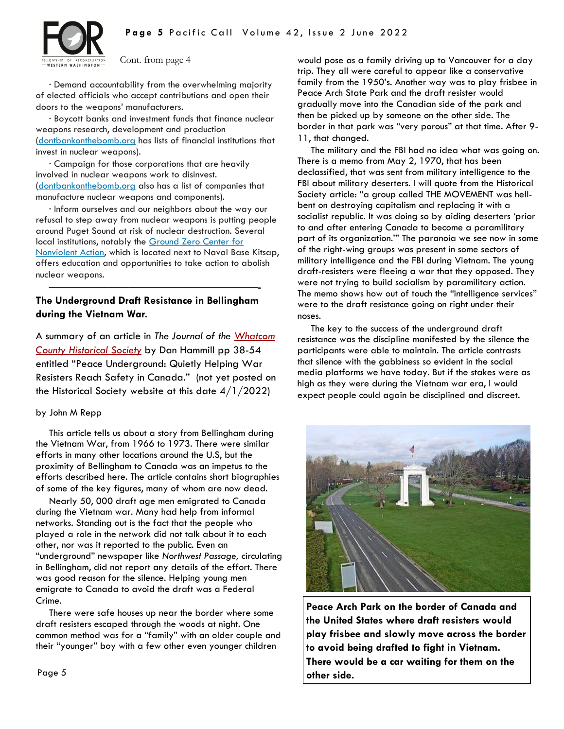

Cont. from page 4

∙ Demand accountability from the overwhelming majority of elected officials who accept contributions and open their doors to the weapons' manufacturers.

∙ Boycott banks and investment funds that finance nuclear weapons research, development and production ([dontbankonthebomb.org](https://nam04.safelinks.protection.outlook.com/?url=http%3A%2F%2Fdontbankonthebomb.org%2F&data=04%7C01%7Coped%40seattletimes.com%7C85ce60753b304e9f61f608d9fbb36c15%7Cfc2b8476b7f0473d82fbe0a89fd99855%7C0%7C0%7C637817570313241696%7CUnknown%7CTWFpbGZsb3d8eyJWIjo) has lists of financial institutions that invest in nuclear weapons).

∙ Campaign for those corporations that are heavily involved in nuclear weapons work to disinvest. ([dontbankonthebomb.org](https://nam04.safelinks.protection.outlook.com/?url=http%3A%2F%2Fdontbankonthebomb.org%2F&data=04%7C01%7Coped%40seattletimes.com%7C85ce60753b304e9f61f608d9fbb36c15%7Cfc2b8476b7f0473d82fbe0a89fd99855%7C0%7C0%7C637817570313241696%7CUnknown%7CTWFpbGZsb3d8eyJWIjo) also has a list of companies that manufacture nuclear weapons and components).

∙ Inform ourselves and our neighbors about the way our refusal to step away from nuclear weapons is putting people around Puget Sound at risk of nuclear destruction. Several local institutions, notably the [Ground Zero Center for](https://www.gzcenter.org/contact-us/)  [Nonviolent Action,](https://www.gzcenter.org/contact-us/) which is located next to Naval Base Kitsap, offers education and opportunities to take action to abolish nuclear weapons.

## **The Underground Draft Resistance in Bellingham during the Vietnam War**.

**—————————————————————-**

A summary of an article in *The Journal of the [Whatcom](https://www.whatcomhistory.net/)  [County Historical Society](https://www.whatcomhistory.net/)* by Dan Hammill pp 38-54 entitled "Peace Underground: Quietly Helping War Resisters Reach Safety in Canada." (not yet posted on the Historical Society website at this date 4/1/2022)

### by John M Repp

This article tells us about a story from Bellingham during the Vietnam War, from 1966 to 1973. There were similar efforts in many other locations around the U.S, but the proximity of Bellingham to Canada was an impetus to the efforts described here. The article contains short biographies of some of the key figures, many of whom are now dead.

Nearly 50, 000 draft age men emigrated to Canada during the Vietnam war. Many had help from informal networks. Standing out is the fact that the people who played a role in the network did not talk about it to each other, nor was it reported to the public. Even an "underground" newspaper like *Northwest Passage,* circulating in Bellingham, did not report any details of the effort. There was good reason for the silence. Helping young men emigrate to Canada to avoid the draft was a Federal Crime.

There were safe houses up near the border where some draft resisters escaped through the woods at night. One common method was for a "family" with an older couple and their "younger" boy with a few other even younger children

would pose as a family driving up to Vancouver for a day trip. They all were careful to appear like a conservative family from the 1950's. Another way was to play frisbee in Peace Arch State Park and the draft resister would gradually move into the Canadian side of the park and then be picked up by someone on the other side. The border in that park was "very porous" at that time. After 9- 11, that changed.

The military and the FBI had no idea what was going on. There is a memo from May 2, 1970, that has been declassified, that was sent from military intelligence to the FBI about military deserters. I will quote from the Historical Society article: "a group called THE MOVEMENT was hellbent on destroying capitalism and replacing it with a socialist republic. It was doing so by aiding deserters 'prior to and after entering Canada to become a paramilitary part of its organization.'" The paranoia we see now in some of the right-wing groups was present in some sectors of military intelligence and the FBI during Vietnam. The young draft-resisters were fleeing a war that they opposed. They were not trying to build socialism by paramilitary action. The memo shows how out of touch the "intelligence services" were to the draft resistance going on right under their noses.

The key to the success of the underground draft resistance was the discipline manifested by the silence the participants were able to maintain. The article contrasts that silence with the gabbiness so evident in the social media platforms we have today. But if the stakes were as high as they were during the Vietnam war era, I would expect people could again be disciplined and discreet.



**Peace Arch Park on the border of Canada and the United States where draft resisters would play frisbee and slowly move across the border to avoid being drafted to fight in Vietnam. There would be a car waiting for them on the other side.**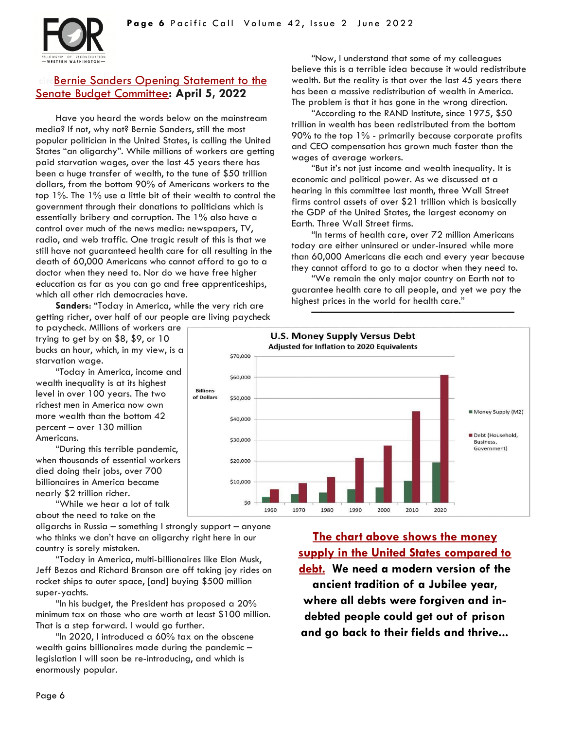

# **Bernie Sanders Opening Statement to the** [Senate Budget Committee](https://vermontbiz.com/news/2022/april/05/sanders-opening-statement-budget-committee-hearing-corporate-greed)**: April 5, 2022**

Have you heard the words below on the mainstream media? If not, why not? Bernie Sanders, still the most popular politician in the United States, is calling the United States "an oligarchy". While millions of workers are getting paid starvation wages, over the last 45 years there has been a huge transfer of wealth, to the tune of \$50 trillion dollars, from the bottom 90% of Americans workers to the top 1%. The 1% use a little bit of their wealth to control the government through their donations to politicians which is essentially bribery and corruption. The 1% also have a control over much of the news media: newspapers, TV, radio, and web traffic. One tragic result of this is that we still have not guaranteed health care for all resulting in the death of 60,000 Americans who cannot afford to go to a doctor when they need to. Nor do we have free higher education as far as you can go and free apprenticeships, which all other rich democracies have.

**Sanders**: "Today in America, while the very rich are getting richer, over half of our people are living paycheck

to paycheck. Millions of workers are trying to get by on \$8, \$9, or 10 bucks an hour, which, in my view, is a starvation wage.

"Today in America, income and wealth inequality is at its highest level in over 100 years. The two richest men in America now own more wealth than the bottom 42 percent – over 130 million Americans.

"During this terrible pandemic, when thousands of essential workers died doing their jobs, over 700 billionaires in America became nearly \$2 trillion richer.

"While we hear a lot of talk about the need to take on the

oligarchs in Russia – something I strongly support – anyone who thinks we don't have an oligarchy right here in our country is sorely mistaken.

"Today in America, multi-billionaires like Elon Musk, Jeff Bezos and Richard Branson are off taking joy rides on rocket ships to outer space, [and] buying \$500 million super-yachts.

"In his budget, the President has proposed a 20% minimum tax on those who are worth at least \$100 million. That is a step forward. I would go further.

"In 2020, I introduced a 60% tax on the obscene wealth gains billionaires made during the pandemic – legislation I will soon be re-introducing, and which is enormously popular.

"Now, I understand that some of my colleagues believe this is a terrible idea because it would redistribute wealth. But the reality is that over the last 45 years there has been a massive redistribution of wealth in America. The problem is that it has gone in the wrong direction.

"According to the RAND Institute, since 1975, \$50 trillion in wealth has been redistributed from the bottom 90% to the top 1% - primarily because corporate profits and CEO compensation has grown much faster than the wages of average workers.

"But it's not just income and wealth inequality. It is economic and political power. As we discussed at a hearing in this committee last month, three Wall Street firms control assets of over \$21 trillion which is basically the GDP of the United States, the largest economy on Earth. Three Wall Street firms.

"In terms of health care, over 72 million Americans today are either uninsured or under-insured while more than 60,000 Americans die each and every year because they cannot afford to go to a doctor when they need to.

"We remain the only major country on Earth not to guarantee health care to all people, and yet we pay the highest prices in the world for health care."

**————————————————————**



**[The chart above shows the money](https://ellenbrown.com/)  [supply in the United States compared to](https://ellenbrown.com/)  [debt.](https://ellenbrown.com/) We need a modern version of the ancient tradition of a Jubilee year, where all debts were forgiven and indebted people could get out of prison and go back to their fields and thrive...**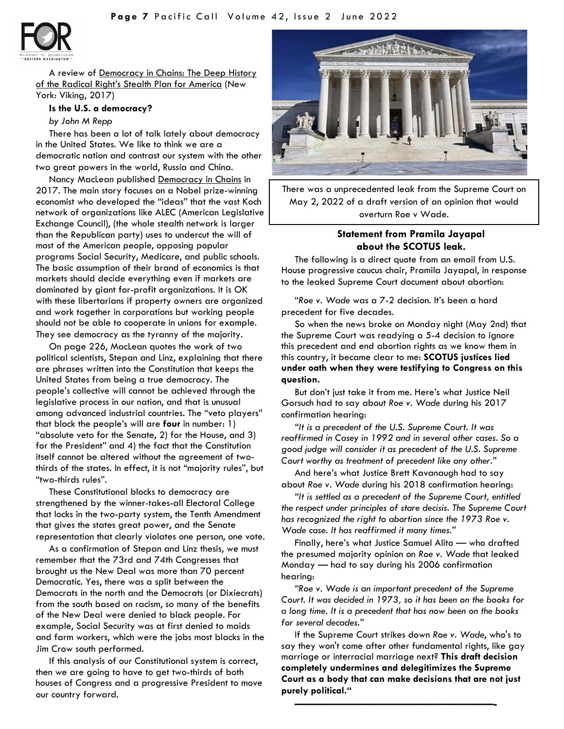

A review of Democracy in Chains: The Deep History of the Radical Right's Stealth Plan for America (New York: Viking, 2017)

### **Is the U.S. a democracy?**

#### *by John M Repp*

There has been a lot of talk lately about democracy in the United States. We like to think we are a democratic nation and contrast our system with the other two great powers in the world, Russia and China.

Nancy MacLean published Democracy in Chains in 2017. The main story focuses on a Nobel prize-winning economist who developed the "ideas" that the vast Koch network of organizations like ALEC (American Legislative Exchange Council), (the whole stealth network is larger than the Republican party) uses to undercut the will of most of the American people, opposing popular programs Social Security, Medicare, and public schools. The basic assumption of their brand of economics is that markets should decide everything even if markets are dominated by giant for-profit organizations. It is OK with these libertarians if property owners are organized and work together in corporations but working people should not be able to cooperate in unions for example. They see democracy as the tyranny of the majority.

On page 226, MacLean quotes the work of two political scientists, Stepan and Linz, explaining that there are phrases written into the Constitution that keeps the United States from being a true democracy. The people's collective will cannot be achieved through the legislative process in our nation, and that is unusual among advanced industrial countries. The "veto players" that block the people's will are **four** in number: 1) "absolute veto for the Senate, 2) for the House, and 3) for the President" and 4) the fact that the Constitution itself cannot be altered without the agreement of twothirds of the states. In effect, it is not "majority rules", but "two-thirds rules".

These Constitutional blocks to democracy are strengthened by the winner-takes-all Electoral College that locks in the two-party system, the Tenth Amendment that gives the states great power, and the Senate representation that clearly violates one person, one vote.

As a confirmation of Stepan and Linz thesis, we must remember that the 73rd and 74th Congresses that brought us the New Deal was more than 70 percent Democratic. Yes, there was a split between the Democrats in the north and the Democrats (or Dixiecrats) from the south based on racism, so many of the benefits of the New Deal were denied to black people. For example, Social Security was at first denied to maids and farm workers, which were the jobs most blacks in the Jim Crow south performed.

If this analysis of our Constitutional system is correct, then we are going to have to get two-thirds of both houses of Congress and a progressive President to move our country forward.



There was a unprecedented leak from the Supreme Court on May 2, 2022 of a draft version of an opinion that would overturn Roe v Wade.

## **Statement from Pramila Jayapal about the SCOTUS leak.**

The following is a direct quote from an email from U.S. House progressi*ve* caucus chair, Pramila Jayapal, in response to the leaked Supreme Court document about abortion:

"*Roe v. Wade* was a 7-2 decision. It's been a hard precedent for five decades.

So when the news broke on Monday night (May 2nd) that the Supreme Court was readying a 5-4 decision to ignore this precedent and end abortion rights as we know them in this country, it became clear to me: **SCOTUS justices lied under oath when they were testifying to Congress on this question.**

But don't just take it from me. Here's what Justice Neil Gorsuch had to say about *Roe v. Wade* during his 2017 confirmation hearing:

*"It is a precedent of the U.S. Supreme Court. It was reaffirmed in Casey in 1992 and in several other cases. So a good judge will consider it as precedent of the U.S. Supreme Court worthy as treatment of precedent like any other."*

And here's what Justice Brett Kavanaugh had to say about *Roe v. Wade* during his 2018 confirmation hearing:

*"It is settled as a precedent of the Supreme Court, entitled the respect under principles of stare decisis. The Supreme Court has recognized the right to abortion since the 1973 Roe v. Wade case. It has reaffirmed it many times."*

Finally, here's what Justice Samuel Alito — who drafted the presumed majority opinion on *Roe v. Wade* that leaked Monday — had to say during his 2006 confirmation hearing:

*"Roe v. Wade is an important precedent of the Supreme Court. It was decided in 1973, so it has been on the books for a long time. It is a precedent that has now been on the books for several decades."*

If the Supreme Court strikes down *Roe v. Wade*, who's to say they won't come after other fundamental rights, like gay marriage or interracial marriage next? **This draft decision completely undermines and delegitimizes the Supreme Court as a body that can make decisions that are not just purely political."**

**——————————————————-**